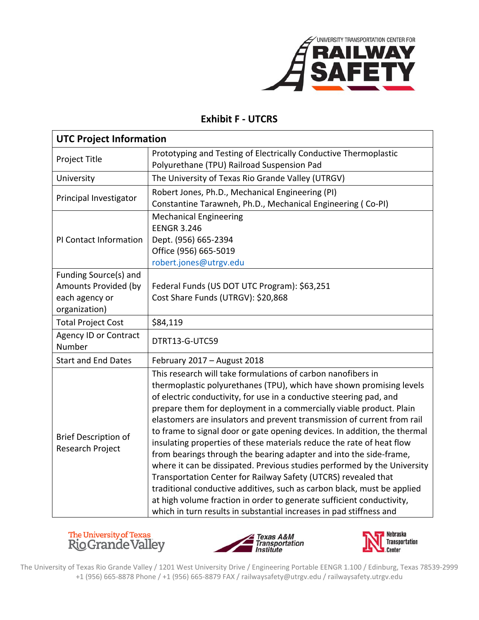

## **Exhibit F ‐ UTCRS**

| <b>UTC Project Information</b>                                                   |                                                                                                                                                                                                                                                                                                                                                                                                                                                                                                                                                                                                                                                                                                                                                                                                                                                                                                                                                                    |  |
|----------------------------------------------------------------------------------|--------------------------------------------------------------------------------------------------------------------------------------------------------------------------------------------------------------------------------------------------------------------------------------------------------------------------------------------------------------------------------------------------------------------------------------------------------------------------------------------------------------------------------------------------------------------------------------------------------------------------------------------------------------------------------------------------------------------------------------------------------------------------------------------------------------------------------------------------------------------------------------------------------------------------------------------------------------------|--|
| Project Title                                                                    | Prototyping and Testing of Electrically Conductive Thermoplastic<br>Polyurethane (TPU) Railroad Suspension Pad                                                                                                                                                                                                                                                                                                                                                                                                                                                                                                                                                                                                                                                                                                                                                                                                                                                     |  |
| University                                                                       | The University of Texas Rio Grande Valley (UTRGV)                                                                                                                                                                                                                                                                                                                                                                                                                                                                                                                                                                                                                                                                                                                                                                                                                                                                                                                  |  |
| Principal Investigator                                                           | Robert Jones, Ph.D., Mechanical Engineering (PI)<br>Constantine Tarawneh, Ph.D., Mechanical Engineering (Co-PI)                                                                                                                                                                                                                                                                                                                                                                                                                                                                                                                                                                                                                                                                                                                                                                                                                                                    |  |
| PI Contact Information                                                           | <b>Mechanical Engineering</b><br><b>EENGR 3.246</b><br>Dept. (956) 665-2394<br>Office (956) 665-5019<br>robert.jones@utrgv.edu                                                                                                                                                                                                                                                                                                                                                                                                                                                                                                                                                                                                                                                                                                                                                                                                                                     |  |
| Funding Source(s) and<br>Amounts Provided (by<br>each agency or<br>organization) | Federal Funds (US DOT UTC Program): \$63,251<br>Cost Share Funds (UTRGV): \$20,868                                                                                                                                                                                                                                                                                                                                                                                                                                                                                                                                                                                                                                                                                                                                                                                                                                                                                 |  |
| <b>Total Project Cost</b>                                                        | \$84,119                                                                                                                                                                                                                                                                                                                                                                                                                                                                                                                                                                                                                                                                                                                                                                                                                                                                                                                                                           |  |
| <b>Agency ID or Contract</b><br>Number                                           | DTRT13-G-UTC59                                                                                                                                                                                                                                                                                                                                                                                                                                                                                                                                                                                                                                                                                                                                                                                                                                                                                                                                                     |  |
| <b>Start and End Dates</b>                                                       | February 2017 - August 2018                                                                                                                                                                                                                                                                                                                                                                                                                                                                                                                                                                                                                                                                                                                                                                                                                                                                                                                                        |  |
| <b>Brief Description of</b><br>Research Project                                  | This research will take formulations of carbon nanofibers in<br>thermoplastic polyurethanes (TPU), which have shown promising levels<br>of electric conductivity, for use in a conductive steering pad, and<br>prepare them for deployment in a commercially viable product. Plain<br>elastomers are insulators and prevent transmission of current from rail<br>to frame to signal door or gate opening devices. In addition, the thermal<br>insulating properties of these materials reduce the rate of heat flow<br>from bearings through the bearing adapter and into the side-frame,<br>where it can be dissipated. Previous studies performed by the University<br>Transportation Center for Railway Safety (UTCRS) revealed that<br>traditional conductive additives, such as carbon black, must be applied<br>at high volume fraction in order to generate sufficient conductivity,<br>which in turn results in substantial increases in pad stiffness and |  |







The University of Texas Rio Grande Valley / 1201 West University Drive / Engineering Portable EENGR 1.100 / Edinburg, Texas 78539‐2999 +1 (956) 665‐8878 Phone / +1 (956) 665‐8879 FAX / railwaysafety@utrgv.edu / railwaysafety.utrgv.edu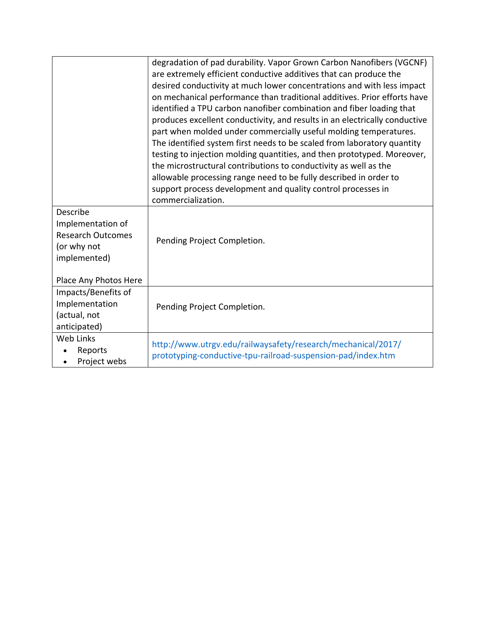|                                                                                          | degradation of pad durability. Vapor Grown Carbon Nanofibers (VGCNF)<br>are extremely efficient conductive additives that can produce the<br>desired conductivity at much lower concentrations and with less impact<br>on mechanical performance than traditional additives. Prior efforts have<br>identified a TPU carbon nanofiber combination and fiber loading that<br>produces excellent conductivity, and results in an electrically conductive<br>part when molded under commercially useful molding temperatures.<br>The identified system first needs to be scaled from laboratory quantity<br>testing to injection molding quantities, and then prototyped. Moreover,<br>the microstructural contributions to conductivity as well as the<br>allowable processing range need to be fully described in order to<br>support process development and quality control processes in |
|------------------------------------------------------------------------------------------|------------------------------------------------------------------------------------------------------------------------------------------------------------------------------------------------------------------------------------------------------------------------------------------------------------------------------------------------------------------------------------------------------------------------------------------------------------------------------------------------------------------------------------------------------------------------------------------------------------------------------------------------------------------------------------------------------------------------------------------------------------------------------------------------------------------------------------------------------------------------------------------|
|                                                                                          | commercialization.                                                                                                                                                                                                                                                                                                                                                                                                                                                                                                                                                                                                                                                                                                                                                                                                                                                                       |
| Describe<br>Implementation of<br><b>Research Outcomes</b><br>(or why not<br>implemented) | Pending Project Completion.                                                                                                                                                                                                                                                                                                                                                                                                                                                                                                                                                                                                                                                                                                                                                                                                                                                              |
| Place Any Photos Here                                                                    |                                                                                                                                                                                                                                                                                                                                                                                                                                                                                                                                                                                                                                                                                                                                                                                                                                                                                          |
| Impacts/Benefits of<br>Implementation<br>(actual, not<br>anticipated)                    | Pending Project Completion.                                                                                                                                                                                                                                                                                                                                                                                                                                                                                                                                                                                                                                                                                                                                                                                                                                                              |
| Web Links<br>Reports<br>Project webs                                                     | http://www.utrgv.edu/railwaysafety/research/mechanical/2017/<br>prototyping-conductive-tpu-railroad-suspension-pad/index.htm                                                                                                                                                                                                                                                                                                                                                                                                                                                                                                                                                                                                                                                                                                                                                             |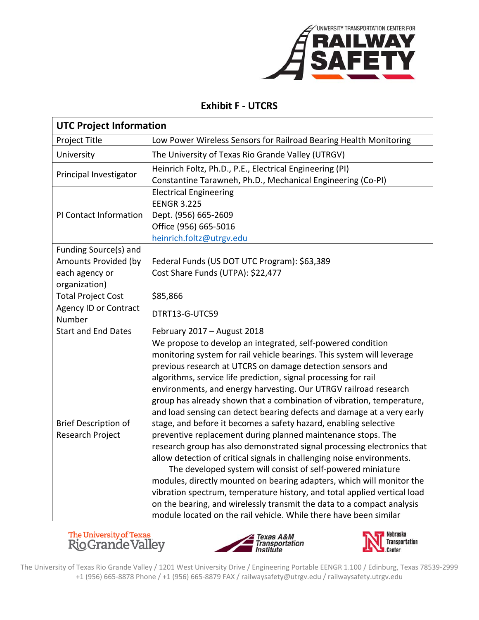

## **Exhibit F ‐ UTCRS**

| <b>UTC Project Information</b>                                                   |                                                                                                                                                                                                                                                                                                                                                                                                                                                                                                                                                                                                                                                                                                                                                                                                                                                                                                                                                                                                                                                                                                                                                           |  |
|----------------------------------------------------------------------------------|-----------------------------------------------------------------------------------------------------------------------------------------------------------------------------------------------------------------------------------------------------------------------------------------------------------------------------------------------------------------------------------------------------------------------------------------------------------------------------------------------------------------------------------------------------------------------------------------------------------------------------------------------------------------------------------------------------------------------------------------------------------------------------------------------------------------------------------------------------------------------------------------------------------------------------------------------------------------------------------------------------------------------------------------------------------------------------------------------------------------------------------------------------------|--|
| Project Title                                                                    | Low Power Wireless Sensors for Railroad Bearing Health Monitoring                                                                                                                                                                                                                                                                                                                                                                                                                                                                                                                                                                                                                                                                                                                                                                                                                                                                                                                                                                                                                                                                                         |  |
| University                                                                       | The University of Texas Rio Grande Valley (UTRGV)                                                                                                                                                                                                                                                                                                                                                                                                                                                                                                                                                                                                                                                                                                                                                                                                                                                                                                                                                                                                                                                                                                         |  |
| Principal Investigator                                                           | Heinrich Foltz, Ph.D., P.E., Electrical Engineering (PI)<br>Constantine Tarawneh, Ph.D., Mechanical Engineering (Co-PI)                                                                                                                                                                                                                                                                                                                                                                                                                                                                                                                                                                                                                                                                                                                                                                                                                                                                                                                                                                                                                                   |  |
| PI Contact Information                                                           | <b>Electrical Engineering</b><br><b>EENGR 3.225</b><br>Dept. (956) 665-2609<br>Office (956) 665-5016<br>heinrich.foltz@utrgv.edu                                                                                                                                                                                                                                                                                                                                                                                                                                                                                                                                                                                                                                                                                                                                                                                                                                                                                                                                                                                                                          |  |
| Funding Source(s) and<br>Amounts Provided (by<br>each agency or<br>organization) | Federal Funds (US DOT UTC Program): \$63,389<br>Cost Share Funds (UTPA): \$22,477                                                                                                                                                                                                                                                                                                                                                                                                                                                                                                                                                                                                                                                                                                                                                                                                                                                                                                                                                                                                                                                                         |  |
| <b>Total Project Cost</b>                                                        | \$85,866                                                                                                                                                                                                                                                                                                                                                                                                                                                                                                                                                                                                                                                                                                                                                                                                                                                                                                                                                                                                                                                                                                                                                  |  |
| <b>Agency ID or Contract</b><br>Number                                           | DTRT13-G-UTC59                                                                                                                                                                                                                                                                                                                                                                                                                                                                                                                                                                                                                                                                                                                                                                                                                                                                                                                                                                                                                                                                                                                                            |  |
| <b>Start and End Dates</b>                                                       | February 2017 - August 2018                                                                                                                                                                                                                                                                                                                                                                                                                                                                                                                                                                                                                                                                                                                                                                                                                                                                                                                                                                                                                                                                                                                               |  |
| <b>Brief Description of</b><br>Research Project                                  | We propose to develop an integrated, self-powered condition<br>monitoring system for rail vehicle bearings. This system will leverage<br>previous research at UTCRS on damage detection sensors and<br>algorithms, service life prediction, signal processing for rail<br>environments, and energy harvesting. Our UTRGV railroad research<br>group has already shown that a combination of vibration, temperature,<br>and load sensing can detect bearing defects and damage at a very early<br>stage, and before it becomes a safety hazard, enabling selective<br>preventive replacement during planned maintenance stops. The<br>research group has also demonstrated signal processing electronics that<br>allow detection of critical signals in challenging noise environments.<br>The developed system will consist of self-powered miniature<br>modules, directly mounted on bearing adapters, which will monitor the<br>vibration spectrum, temperature history, and total applied vertical load<br>on the bearing, and wirelessly transmit the data to a compact analysis<br>module located on the rail vehicle. While there have been similar |  |







The University of Texas Rio Grande Valley / 1201 West University Drive / Engineering Portable EENGR 1.100 / Edinburg, Texas 78539‐2999 +1 (956) 665‐8878 Phone / +1 (956) 665‐8879 FAX / railwaysafety@utrgv.edu / railwaysafety.utrgv.edu